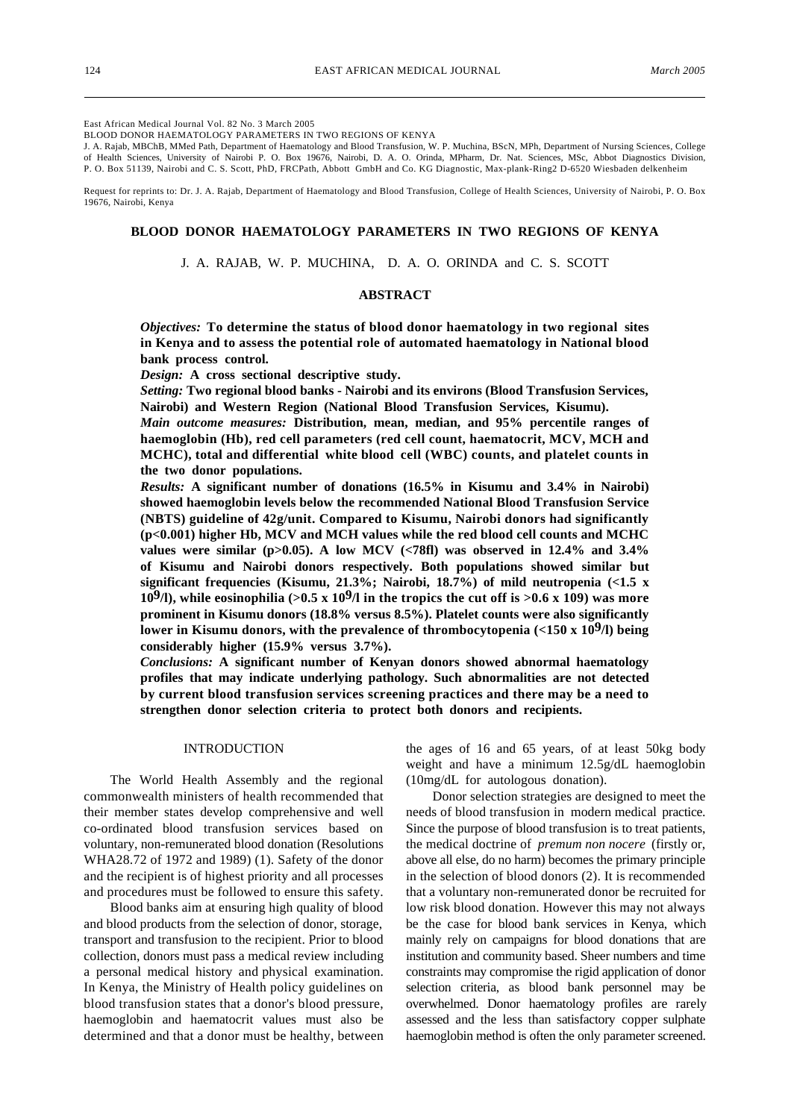#### East African Medical Journal Vol. 82 No. 3 March 2005

BLOOD DONOR HAEMATOLOGY PARAMETERS IN TWO REGIONS OF KENYA

J. A. Rajab, MBChB, MMed Path, Department of Haematology and Blood Transfusion, W. P. Muchina, BScN, MPh, Department of Nursing Sciences, College of Health Sciences, University of Nairobi P. O. Box 19676, Nairobi, D. A. O. Orinda, MPharm, Dr. Nat. Sciences, MSc, Abbot Diagnostics Division, P. O. Box 51139, Nairobi and C. S. Scott, PhD, FRCPath, Abbott GmbH and Co. KG Diagnostic, Max-plank-Ring2 D-6520 Wiesbaden delkenheim

Request for reprints to: Dr. J. A. Rajab, Department of Haematology and Blood Transfusion, College of Health Sciences, University of Nairobi, P. O. Box 19676, Nairobi, Kenya

# **BLOOD DONOR HAEMATOLOGY PARAMETERS IN TWO REGIONS OF KENYA**

J. A. RAJAB, W. P. MUCHINA, D. A. O. ORINDA and C. S. SCOTT

### **ABSTRACT**

*Objectives:* **To determine the status of blood donor haematology in two regional sites in Kenya and to assess the potential role of automated haematology in National blood bank process control.**

*Design:* **A cross sectional descriptive study.**

*Setting:* **Two regional blood banks - Nairobi and its environs (Blood Transfusion Services, Nairobi) and Western Region (National Blood Transfusion Services, Kisumu).**

*Main outcome measures:* **Distribution, mean, median, and 95% percentile ranges of haemoglobin (Hb), red cell parameters (red cell count, haematocrit, MCV, MCH and MCHC), total and differential white blood cell (WBC) counts, and platelet counts in the two donor populations.**

*Results:* **A significant number of donations (16.5% in Kisumu and 3.4% in Nairobi) showed haemoglobin levels below the recommended National Blood Transfusion Service (NBTS) guideline of 42g/unit. Compared to Kisumu, Nairobi donors had significantly (p<0.001) higher Hb, MCV and MCH values while the red blood cell counts and MCHC values were similar (p>0.05). A low MCV (<78fl) was observed in 12.4% and 3.4% of Kisumu and Nairobi donors respectively. Both populations showed similar but significant frequencies (Kisumu, 21.3%; Nairobi, 18.7%) of mild neutropenia (<1.5 x 109/l), while eosinophilia (>0.5 x 109/l in the tropics the cut off is >0.6 x 109) was more prominent in Kisumu donors (18.8% versus 8.5%). Platelet counts were also significantly lower in Kisumu donors, with the prevalence of thrombocytopenia (<150 x 109/l) being considerably higher (15.9% versus 3.7%).**

*Conclusions:* **A significant number of Kenyan donors showed abnormal haematology profiles that may indicate underlying pathology. Such abnormalities are not detected by current blood transfusion services screening practices and there may be a need to strengthen donor selection criteria to protect both donors and recipients.**

### INTRODUCTION

The World Health Assembly and the regional commonwealth ministers of health recommended that their member states develop comprehensive and well co-ordinated blood transfusion services based on voluntary, non-remunerated blood donation (Resolutions WHA28.72 of 1972 and 1989) (1). Safety of the donor and the recipient is of highest priority and all processes and procedures must be followed to ensure this safety.

Blood banks aim at ensuring high quality of blood and blood products from the selection of donor, storage, transport and transfusion to the recipient. Prior to blood collection, donors must pass a medical review including a personal medical history and physical examination. In Kenya, the Ministry of Health policy guidelines on blood transfusion states that a donor's blood pressure, haemoglobin and haematocrit values must also be determined and that a donor must be healthy, between the ages of 16 and 65 years, of at least 50kg body weight and have a minimum 12.5g/dL haemoglobin (10mg/dL for autologous donation).

Donor selection strategies are designed to meet the needs of blood transfusion in modern medical practice. Since the purpose of blood transfusion is to treat patients, the medical doctrine of *premum non nocere* (firstly or, above all else, do no harm) becomes the primary principle in the selection of blood donors (2). It is recommended that a voluntary non-remunerated donor be recruited for low risk blood donation. However this may not always be the case for blood bank services in Kenya, which mainly rely on campaigns for blood donations that are institution and community based. Sheer numbers and time constraints may compromise the rigid application of donor selection criteria, as blood bank personnel may be overwhelmed. Donor haematology profiles are rarely assessed and the less than satisfactory copper sulphate haemoglobin method is often the only parameter screened.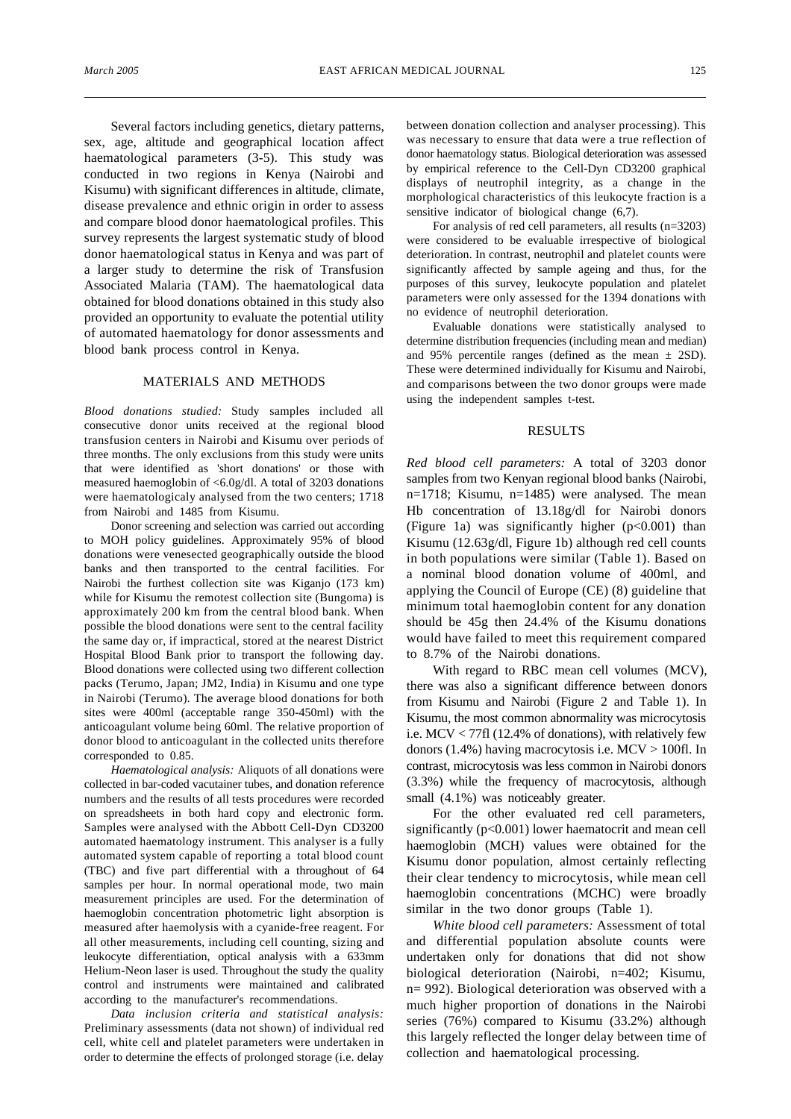Several factors including genetics, dietary patterns, sex, age, altitude and geographical location affect haematological parameters (3-5). This study was conducted in two regions in Kenya (Nairobi and Kisumu) with significant differences in altitude, climate, disease prevalence and ethnic origin in order to assess and compare blood donor haematological profiles. This survey represents the largest systematic study of blood donor haematological status in Kenya and was part of a larger study to determine the risk of Transfusion Associated Malaria (TAM). The haematological data obtained for blood donations obtained in this study also provided an opportunity to evaluate the potential utility of automated haematology for donor assessments and blood bank process control in Kenya.

## MATERIALS AND METHODS

*Blood donations studied:* Study samples included all consecutive donor units received at the regional blood transfusion centers in Nairobi and Kisumu over periods of three months. The only exclusions from this study were units that were identified as 'short donations' or those with measured haemoglobin of <6.0g/dl. A total of 3203 donations were haematologicaly analysed from the two centers; 1718 from Nairobi and 1485 from Kisumu.

Donor screening and selection was carried out according to MOH policy guidelines. Approximately 95% of blood donations were venesected geographically outside the blood banks and then transported to the central facilities. For Nairobi the furthest collection site was Kiganjo (173 km) while for Kisumu the remotest collection site (Bungoma) is approximately 200 km from the central blood bank. When possible the blood donations were sent to the central facility the same day or, if impractical, stored at the nearest District Hospital Blood Bank prior to transport the following day. Blood donations were collected using two different collection packs (Terumo, Japan; JM2, India) in Kisumu and one type in Nairobi (Terumo). The average blood donations for both sites were 400ml (acceptable range 350-450ml) with the anticoagulant volume being 60ml. The relative proportion of donor blood to anticoagulant in the collected units therefore corresponded to 0.85.

*Haematological analysis:* Aliquots of all donations were collected in bar-coded vacutainer tubes, and donation reference numbers and the results of all tests procedures were recorded on spreadsheets in both hard copy and electronic form. Samples were analysed with the Abbott Cell-Dyn CD3200 automated haematology instrument. This analyser is a fully automated system capable of reporting a total blood count (TBC) and five part differential with a throughout of 64 samples per hour. In normal operational mode, two main measurement principles are used. For the determination of haemoglobin concentration photometric light absorption is measured after haemolysis with a cyanide-free reagent. For all other measurements, including cell counting, sizing and leukocyte differentiation, optical analysis with a 633mm Helium-Neon laser is used. Throughout the study the quality control and instruments were maintained and calibrated according to the manufacturer's recommendations.

*Data inclusion criteria and statistical analysis:* Preliminary assessments (data not shown) of individual red cell, white cell and platelet parameters were undertaken in order to determine the effects of prolonged storage (i.e. delay

between donation collection and analyser processing). This was necessary to ensure that data were a true reflection of donor haematology status. Biological deterioration was assessed by empirical reference to the Cell-Dyn CD3200 graphical displays of neutrophil integrity, as a change in the morphological characteristics of this leukocyte fraction is a sensitive indicator of biological change (6,7).

For analysis of red cell parameters, all results (n=3203) were considered to be evaluable irrespective of biological deterioration. In contrast, neutrophil and platelet counts were significantly affected by sample ageing and thus, for the purposes of this survey, leukocyte population and platelet parameters were only assessed for the 1394 donations with no evidence of neutrophil deterioration.

Evaluable donations were statistically analysed to determine distribution frequencies (including mean and median) and 95% percentile ranges (defined as the mean  $\pm$  2SD). These were determined individually for Kisumu and Nairobi, and comparisons between the two donor groups were made using the independent samples t-test.

# RESULTS

*Red blood cell parameters:* A total of 3203 donor samples from two Kenyan regional blood banks (Nairobi, n=1718; Kisumu, n=1485) were analysed. The mean Hb concentration of 13.18g/dl for Nairobi donors (Figure 1a) was significantly higher  $(p<0.001)$  than Kisumu (12.63g/dl, Figure 1b) although red cell counts in both populations were similar (Table 1). Based on a nominal blood donation volume of 400ml, and applying the Council of Europe (CE) (8) guideline that minimum total haemoglobin content for any donation should be 45g then 24.4% of the Kisumu donations would have failed to meet this requirement compared to 8.7% of the Nairobi donations.

With regard to RBC mean cell volumes (MCV), there was also a significant difference between donors from Kisumu and Nairobi (Figure 2 and Table 1). In Kisumu, the most common abnormality was microcytosis i.e. MCV < 77fl (12.4% of donations), with relatively few donors (1.4%) having macrocytosis i.e. MCV > 100fl. In contrast, microcytosis was less common in Nairobi donors (3.3%) while the frequency of macrocytosis, although small (4.1%) was noticeably greater.

For the other evaluated red cell parameters, significantly (p<0.001) lower haematocrit and mean cell haemoglobin (MCH) values were obtained for the Kisumu donor population, almost certainly reflecting their clear tendency to microcytosis, while mean cell haemoglobin concentrations (MCHC) were broadly similar in the two donor groups (Table 1).

*White blood cell parameters:* Assessment of total and differential population absolute counts were undertaken only for donations that did not show biological deterioration (Nairobi, n=402; Kisumu, n= 992). Biological deterioration was observed with a much higher proportion of donations in the Nairobi series (76%) compared to Kisumu (33.2%) although this largely reflected the longer delay between time of collection and haematological processing.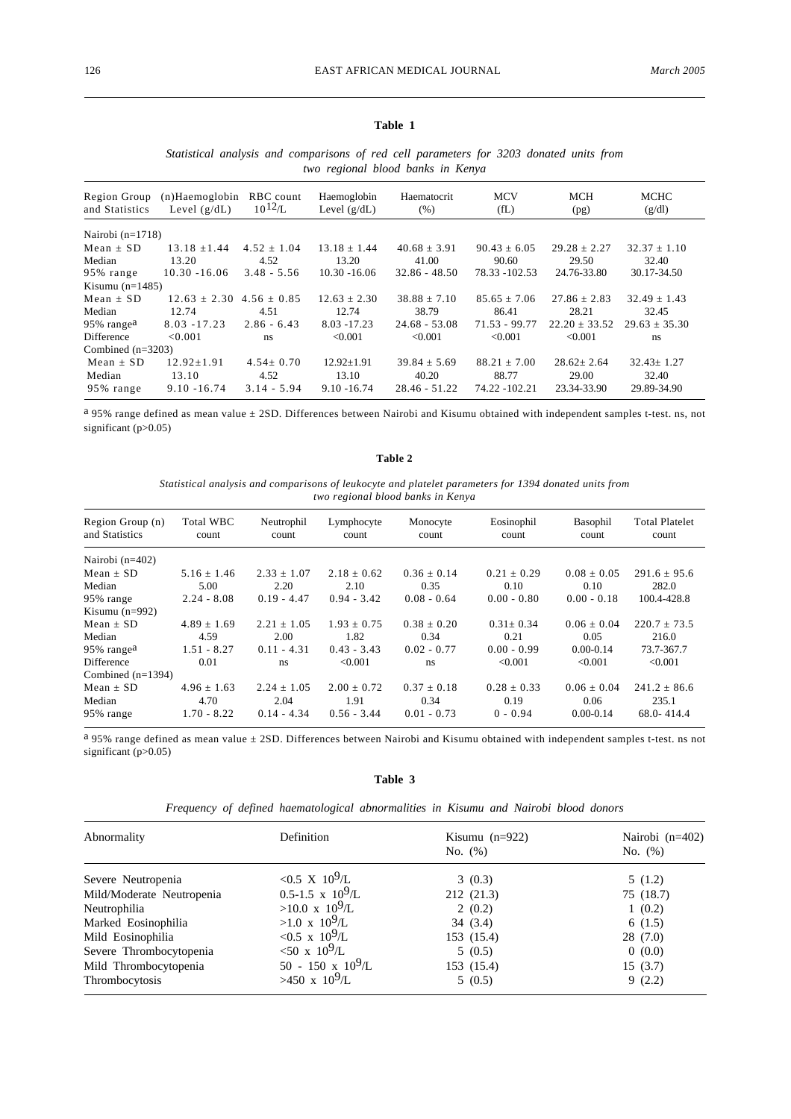# **Table 1**

## *Statistical analysis and comparisons of red cell parameters for 3203 donated units from two regional blood banks in Kenya*

| Region Group<br>and Statistics | (n)Haemoglobin<br>Level $(g/dL)$ | RBC count<br>$10^{12}$ /L | Haemoglobin<br>Level $(g/dL)$ | Haematocrit<br>(% ) | <b>MCV</b><br>f(L) | <b>MCH</b><br>(pg) | MCHC<br>(g/dl)    |
|--------------------------------|----------------------------------|---------------------------|-------------------------------|---------------------|--------------------|--------------------|-------------------|
| Nairobi $(n=1718)$             |                                  |                           |                               |                     |                    |                    |                   |
| $Mean + SD$                    | $13.18 + 1.44$                   | $4.52 \pm 1.04$           | $13.18 + 1.44$                | $40.68 \pm 3.91$    | $90.43 + 6.05$     | $29.28 \pm 2.27$   | $32.37 \pm 1.10$  |
| Median                         | 13.20                            | 4.52                      | 13.20                         | 41.00               | 90.60              | 29.50              | 32.40             |
| 95% range                      | $10.30 - 16.06$                  | $3.48 - 5.56$             | $10.30 - 16.06$               | $32.86 - 48.50$     | 78.33 - 102.53     | 24.76-33.80        | 30.17-34.50       |
| Kisumu $(n=1485)$              |                                  |                           |                               |                     |                    |                    |                   |
| $Mean + SD$                    | $12.63 + 2.30$                   | $4.56 + 0.85$             | $12.63 + 2.30$                | $38.88 + 7.10$      | $85.65 + 7.06$     | $27.86 + 2.83$     | $32.49 + 1.43$    |
| Median                         | 12.74                            | 4.51                      | 12.74                         | 38.79               | 86.41              | 28.21              | 32.45             |
| 95% range <sup>a</sup>         | $8.03 - 17.23$                   | $2.86 - 6.43$             | $8.03 - 17.23$                | $24.68 - 53.08$     | $71.53 - 99.77$    | $22.20 \pm 33.52$  | $29.63 \pm 35.30$ |
| <b>Difference</b>              | < 0.001                          | ns                        | < 0.001                       | < 0.001             | < 0.001            | < 0.001            | ns                |
| Combined $(n=3203)$            |                                  |                           |                               |                     |                    |                    |                   |
| $Mean + SD$                    | $12.92 \pm 1.91$                 | $4.54 \pm 0.70$           | $12.92 + 1.91$                | $39.84 + 5.69$      | $88.21 + 7.00$     | $28.62 + 2.64$     | $32.43 \pm 1.27$  |
| Median                         | 13.10                            | 4.52                      | 13.10                         | 40.20               | 88.77              | 29.00              | 32.40             |
| 95% range                      | $9.10 - 16.74$                   | $3.14 - 5.94$             | $9.10 - 16.74$                | $28.46 - 51.22$     | 74.22 -102.21      | 23.34-33.90        | 29.89-34.90       |

a 95% range defined as mean value ± 2SD. Differences between Nairobi and Kisumu obtained with independent samples t-test. ns, not significant (p>0.05)

**Table 2**

*Statistical analysis and comparisons of leukocyte and platelet parameters for 1394 donated units from two regional blood banks in Kenya*

| Region Group (n)<br>and Statistics | <b>Total WBC</b><br>count | Neutrophil<br>count | Lymphocyte<br>count | Monocyte<br>count | Eosinophil<br>count | Basophil<br>count | <b>Total Platelet</b><br>count |
|------------------------------------|---------------------------|---------------------|---------------------|-------------------|---------------------|-------------------|--------------------------------|
| Nairobi $(n=402)$                  |                           |                     |                     |                   |                     |                   |                                |
| $Mean + SD$                        | $5.16 + 1.46$             | $2.33 + 1.07$       | $2.18 + 0.62$       | $0.36 + 0.14$     | $0.21 + 0.29$       | $0.08 + 0.05$     | $291.6 + 95.6$                 |
| Median                             | 5.00                      | 2.20                | 2.10                | 0.35              | 0.10                | 0.10              | 282.0                          |
| 95% range                          | $2.24 - 8.08$             | $0.19 - 4.47$       | $0.94 - 3.42$       | $0.08 - 0.64$     | $0.00 - 0.80$       | $0.00 - 0.18$     | 100.4-428.8                    |
| Kisumu $(n=992)$                   |                           |                     |                     |                   |                     |                   |                                |
| Mean $\pm$ SD                      | $4.89 \pm 1.69$           | $2.21 + 1.05$       | $1.93 \pm 0.75$     | $0.38 + 0.20$     | $0.31 + 0.34$       | $0.06 + 0.04$     | $220.7 + 73.5$                 |
| Median                             | 4.59                      | 2.00                | 1.82                | 0.34              | 0.21                | 0.05              | 216.0                          |
| 95% range <sup>a</sup>             | $1.51 - 8.27$             | $0.11 - 4.31$       | $0.43 - 3.43$       | $0.02 - 0.77$     | $0.00 - 0.99$       | $0.00 - 0.14$     | 73.7-367.7                     |
| <b>Difference</b>                  | 0.01                      | ns                  | < 0.001             | ns                | < 0.001             | < 0.001           | <0.001                         |
| Combined $(n=1394)$                |                           |                     |                     |                   |                     |                   |                                |
| $Mean + SD$                        | $4.96 + 1.63$             | $2.24 + 1.05$       | $2.00 \pm 0.72$     | $0.37 + 0.18$     | $0.28 \pm 0.33$     | $0.06 + 0.04$     | $241.2 + 86.6$                 |
| Median                             | 4.70                      | 2.04                | 1.91                | 0.34              | 0.19                | 0.06              | 235.1                          |
| 95% range                          | $1.70 - 8.22$             | $0.14 - 4.34$       | $0.56 - 3.44$       | $0.01 - 0.73$     | $0 - 0.94$          | $0.00 - 0.14$     | $68.0 - 414.4$                 |

a 95% range defined as mean value ± 2SD. Differences between Nairobi and Kisumu obtained with independent samples t-test. ns not significant (p>0.05)

**Table 3**

*Frequency of defined haematological abnormalities in Kisumu and Nairobi blood donors*

| Abnormality               | Definition                 | Kisumu $(n=922)$ | Nairobi $(n=402)$ |  |
|---------------------------|----------------------------|------------------|-------------------|--|
|                           |                            | No. $(\%)$       | No. $(\%)$        |  |
| Severe Neutropenia        | <0.5 X 10 <sup>9</sup> /L  | 3(0.3)           | 5(1.2)            |  |
| Mild/Moderate Neutropenia | $0.5 - 1.5 \times 10^9$ /L | 212 (21.3)       | 75 (18.7)         |  |
| Neutrophilia              | $>10.0 \times 10^9$ /L     | 2(0.2)           | 1(0.2)            |  |
| Marked Eosinophilia       | $>1.0 \times 10^9$ /L      | 34(3.4)          | 6(1.5)            |  |
| Mild Eosinophilia         | $< 0.5 \times 10^9$ /L     | 153 (15.4)       | 28(7.0)           |  |
| Severe Thrombocytopenia   | $50 \times 10^9$ /L        | 5(0.5)           | 0(0.0)            |  |
| Mild Thrombocytopenia     | 50 - 150 x $10^9$ /L       | 153 (15.4)       | 15(3.7)           |  |
| Thrombocytosis            | $>450 \times 10^9$ /L      | 5(0.5)           | 9(2.2)            |  |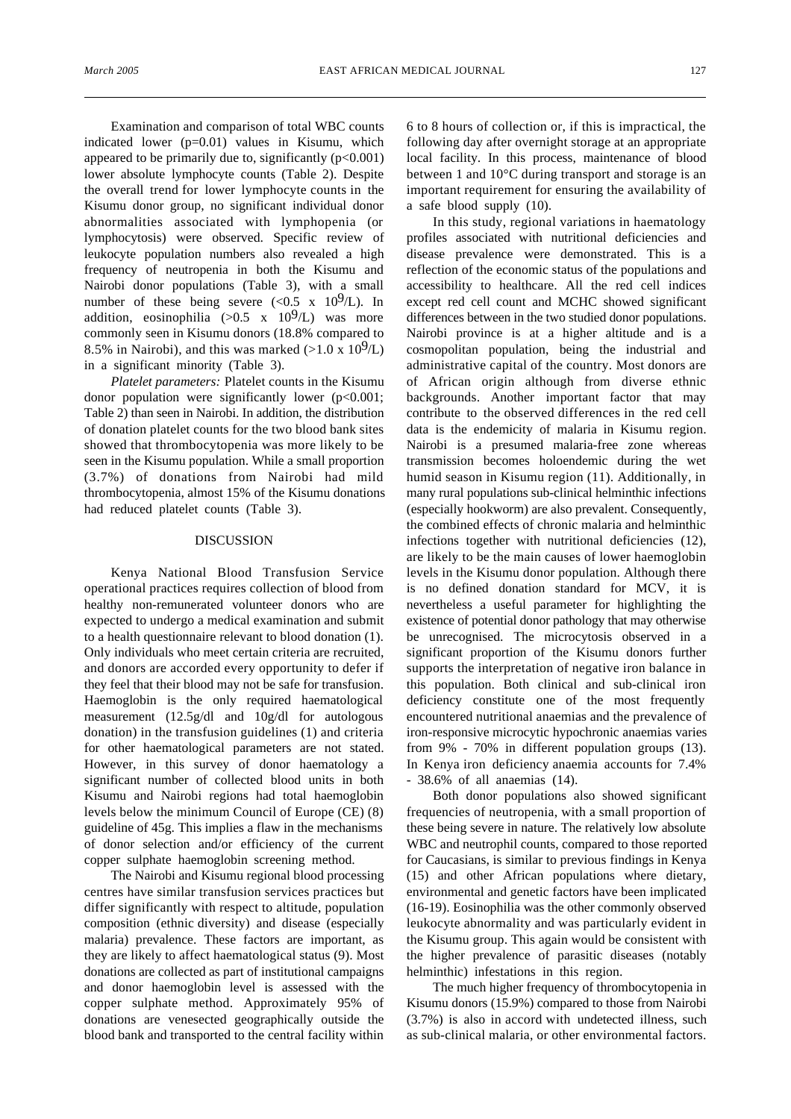Examination and comparison of total WBC counts indicated lower (p=0.01) values in Kisumu, which appeared to be primarily due to, significantly  $(p<0.001)$ lower absolute lymphocyte counts (Table 2). Despite the overall trend for lower lymphocyte counts in the Kisumu donor group, no significant individual donor abnormalities associated with lymphopenia (or lymphocytosis) were observed. Specific review of leukocyte population numbers also revealed a high frequency of neutropenia in both the Kisumu and Nairobi donor populations (Table 3), with a small number of these being severe  $( $0.5 \times 10^9/L$ ). In$ addition, eosinophilia  $(>0.5 \times 10^9)$  was more commonly seen in Kisumu donors (18.8% compared to 8.5% in Nairobi), and this was marked  $(>1.0 \times 10^9$ /L) in a significant minority (Table 3).

*Platelet parameters:* Platelet counts in the Kisumu donor population were significantly lower  $(p<0.001;$ Table 2) than seen in Nairobi. In addition, the distribution of donation platelet counts for the two blood bank sites showed that thrombocytopenia was more likely to be seen in the Kisumu population. While a small proportion (3.7%) of donations from Nairobi had mild thrombocytopenia, almost 15% of the Kisumu donations had reduced platelet counts (Table 3).

### DISCUSSION

Kenya National Blood Transfusion Service operational practices requires collection of blood from healthy non-remunerated volunteer donors who are expected to undergo a medical examination and submit to a health questionnaire relevant to blood donation (1). Only individuals who meet certain criteria are recruited, and donors are accorded every opportunity to defer if they feel that their blood may not be safe for transfusion. Haemoglobin is the only required haematological measurement (12.5g/dl and 10g/dl for autologous donation) in the transfusion guidelines (1) and criteria for other haematological parameters are not stated. However, in this survey of donor haematology a significant number of collected blood units in both Kisumu and Nairobi regions had total haemoglobin levels below the minimum Council of Europe (CE) (8) guideline of 45g. This implies a flaw in the mechanisms of donor selection and/or efficiency of the current copper sulphate haemoglobin screening method.

The Nairobi and Kisumu regional blood processing centres have similar transfusion services practices but differ significantly with respect to altitude, population composition (ethnic diversity) and disease (especially malaria) prevalence. These factors are important, as they are likely to affect haematological status (9). Most donations are collected as part of institutional campaigns and donor haemoglobin level is assessed with the copper sulphate method. Approximately 95% of donations are venesected geographically outside the blood bank and transported to the central facility within 6 to 8 hours of collection or, if this is impractical, the following day after overnight storage at an appropriate local facility. In this process, maintenance of blood between 1 and 10°C during transport and storage is an important requirement for ensuring the availability of a safe blood supply (10).

In this study, regional variations in haematology profiles associated with nutritional deficiencies and disease prevalence were demonstrated. This is a reflection of the economic status of the populations and accessibility to healthcare. All the red cell indices except red cell count and MCHC showed significant differences between in the two studied donor populations. Nairobi province is at a higher altitude and is a cosmopolitan population, being the industrial and administrative capital of the country. Most donors are of African origin although from diverse ethnic backgrounds. Another important factor that may contribute to the observed differences in the red cell data is the endemicity of malaria in Kisumu region. Nairobi is a presumed malaria-free zone whereas transmission becomes holoendemic during the wet humid season in Kisumu region (11). Additionally, in many rural populations sub-clinical helminthic infections (especially hookworm) are also prevalent. Consequently, the combined effects of chronic malaria and helminthic infections together with nutritional deficiencies (12), are likely to be the main causes of lower haemoglobin levels in the Kisumu donor population. Although there is no defined donation standard for MCV, it is nevertheless a useful parameter for highlighting the existence of potential donor pathology that may otherwise be unrecognised. The microcytosis observed in a significant proportion of the Kisumu donors further supports the interpretation of negative iron balance in this population. Both clinical and sub-clinical iron deficiency constitute one of the most frequently encountered nutritional anaemias and the prevalence of iron-responsive microcytic hypochronic anaemias varies from 9% - 70% in different population groups (13). In Kenya iron deficiency anaemia accounts for 7.4% - 38.6% of all anaemias (14).

Both donor populations also showed significant frequencies of neutropenia, with a small proportion of these being severe in nature. The relatively low absolute WBC and neutrophil counts, compared to those reported for Caucasians, is similar to previous findings in Kenya (15) and other African populations where dietary, environmental and genetic factors have been implicated (16-19). Eosinophilia was the other commonly observed leukocyte abnormality and was particularly evident in the Kisumu group. This again would be consistent with the higher prevalence of parasitic diseases (notably helminthic) infestations in this region.

The much higher frequency of thrombocytopenia in Kisumu donors (15.9%) compared to those from Nairobi (3.7%) is also in accord with undetected illness, such as sub-clinical malaria, or other environmental factors.